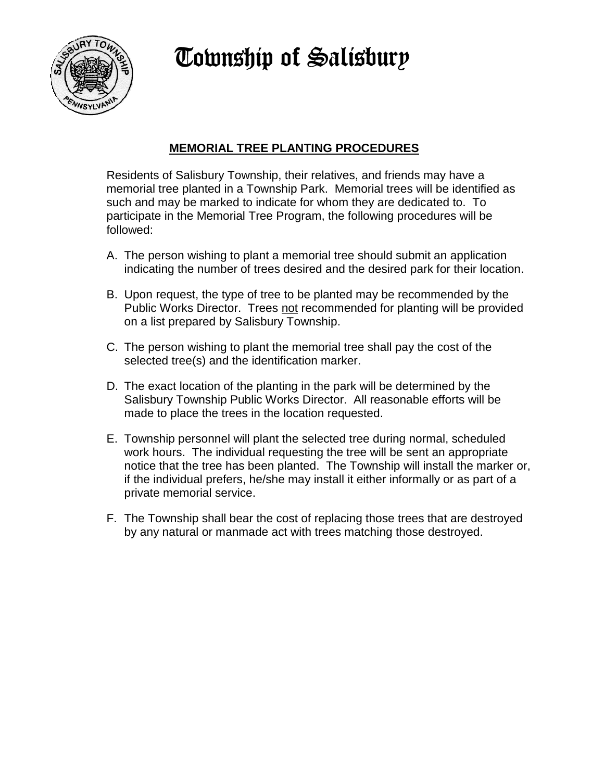**Township of Salisbury** 



## **MEMORIAL TREE PLANTING PROCEDURES**

Residents of Salisbury Township, their relatives, and friends may have a memorial tree planted in a Township Park. Memorial trees will be identified as such and may be marked to indicate for whom they are dedicated to. To participate in the Memorial Tree Program, the following procedures will be followed:

- A. The person wishing to plant a memorial tree should submit an application indicating the number of trees desired and the desired park for their location.
- B. Upon request, the type of tree to be planted may be recommended by the Public Works Director. Trees not recommended for planting will be provided on a list prepared by Salisbury Township.
- C. The person wishing to plant the memorial tree shall pay the cost of the selected tree(s) and the identification marker.
- D. The exact location of the planting in the park will be determined by the Salisbury Township Public Works Director. All reasonable efforts will be made to place the trees in the location requested.
- E. Township personnel will plant the selected tree during normal, scheduled work hours. The individual requesting the tree will be sent an appropriate notice that the tree has been planted. The Township will install the marker or, if the individual prefers, he/she may install it either informally or as part of a private memorial service.
- F. The Township shall bear the cost of replacing those trees that are destroyed by any natural or manmade act with trees matching those destroyed.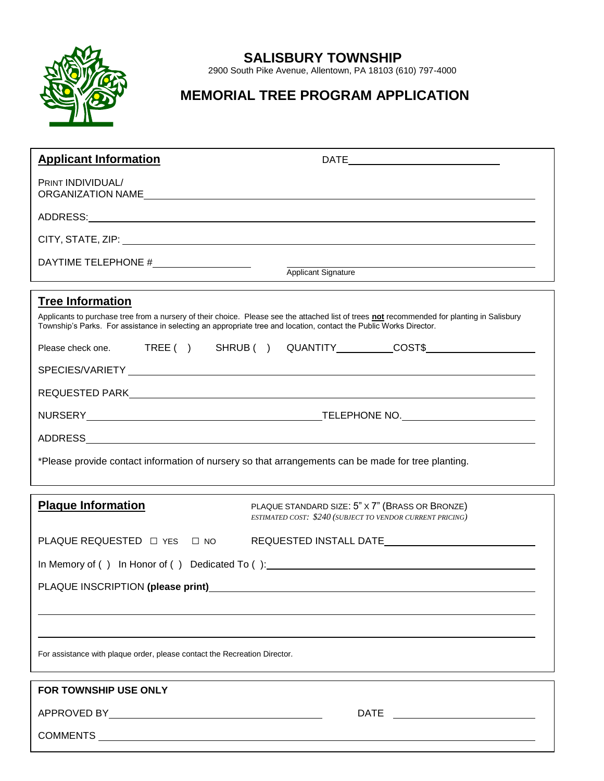

## **SALISBURY TOWNSHIP**

2900 South Pike Avenue, Allentown, PA 18103 (610) 797-4000

# **MEMORIAL TREE PROGRAM APPLICATION**

| <b>Applicant Information</b>                                                                                                                                                                                                                                                                                                                         |                                                                                                                                                                                                                                |
|------------------------------------------------------------------------------------------------------------------------------------------------------------------------------------------------------------------------------------------------------------------------------------------------------------------------------------------------------|--------------------------------------------------------------------------------------------------------------------------------------------------------------------------------------------------------------------------------|
| PRINT INDIVIDUAL/                                                                                                                                                                                                                                                                                                                                    | ORGANIZATION NAME                                                                                                                                                                                                              |
|                                                                                                                                                                                                                                                                                                                                                      |                                                                                                                                                                                                                                |
|                                                                                                                                                                                                                                                                                                                                                      |                                                                                                                                                                                                                                |
| Applicant Signature                                                                                                                                                                                                                                                                                                                                  |                                                                                                                                                                                                                                |
| <b>Tree Information</b><br>Applicants to purchase tree from a nursery of their choice. Please see the attached list of trees not recommended for planting in Salisbury<br>Township's Parks. For assistance in selecting an appropriate tree and location, contact the Public Works Director.<br>Please check one. TREE ( ) SHRUB ( ) QUANTITY COST\$ |                                                                                                                                                                                                                                |
|                                                                                                                                                                                                                                                                                                                                                      |                                                                                                                                                                                                                                |
|                                                                                                                                                                                                                                                                                                                                                      |                                                                                                                                                                                                                                |
|                                                                                                                                                                                                                                                                                                                                                      | NURSERY NURSERY And the state of the state of the state of the state of the state of the state of the state of the state of the state of the state of the state of the state of the state of the state of the state of the sta |
|                                                                                                                                                                                                                                                                                                                                                      |                                                                                                                                                                                                                                |
| *Please provide contact information of nursery so that arrangements can be made for tree planting.                                                                                                                                                                                                                                                   |                                                                                                                                                                                                                                |
| <b>Plaque Information</b>                                                                                                                                                                                                                                                                                                                            | PLAQUE STANDARD SIZE: 5" X 7" (BRASS OR BRONZE)<br>ESTIMATED COST: \$240 (SUBJECT TO VENDOR CURRENT PRICING)                                                                                                                   |
| PLAQUE REQUESTED □ YES □ NO                                                                                                                                                                                                                                                                                                                          |                                                                                                                                                                                                                                |
| In Memory of () In Honor of () Dedicated To (): _________________________________                                                                                                                                                                                                                                                                    |                                                                                                                                                                                                                                |
| PLAQUE INSCRIPTION (please print)<br>The matter of the state of the state of the state of the state of the state of the state of the state of the state of the state of the state of the state of the state of the state of the                                                                                                                      |                                                                                                                                                                                                                                |
|                                                                                                                                                                                                                                                                                                                                                      |                                                                                                                                                                                                                                |
|                                                                                                                                                                                                                                                                                                                                                      |                                                                                                                                                                                                                                |
| For assistance with plaque order, please contact the Recreation Director.                                                                                                                                                                                                                                                                            |                                                                                                                                                                                                                                |
| FOR TOWNSHIP USE ONLY                                                                                                                                                                                                                                                                                                                                |                                                                                                                                                                                                                                |
|                                                                                                                                                                                                                                                                                                                                                      |                                                                                                                                                                                                                                |
|                                                                                                                                                                                                                                                                                                                                                      |                                                                                                                                                                                                                                |